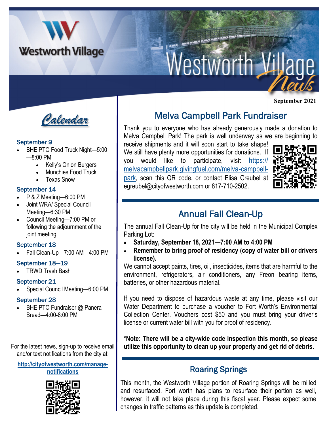

# Westworth Village

*Calendar*

## September 9

- BHE PTO Food Truck Night-5:00 —8:00 PM
	- Kelly's Onion Burgers
	- Munchies Food Truck
	- Texas Snow

#### September 14

- P & Z Meeting—6:00 PM
- Joint WRA/ Special Council Meeting—6:30 PM
- Council Meeting—7:00 PM or following the adjournment of the joint meeting

## September 18

• Fall Clean-Up—7:00 AM—4:00 PM

## September 18—19

• TRWD Trash Bash

## September 21

• Special Council Meeting—6:00 PM

## September 28

BHE PTO Fundraiser @ Panera Bread—4:00-8:00 PM

and/or text notifications from the city at:

**[http://cityofwestworth.com/manage](http://cityofwestworth.com/manage-notifications)[notifications](http://cityofwestworth.com/manage-notifications)**



Melva Campbell Park Fundraiser

Thank you to everyone who has already generously made a donation to Melva Campbell Park! The park is well underway as we are beginning to

receive shipments and it will soon start to take shape! We still have plenty more opportunities for donations. If you would like to participate, visit [https://](https://melvacampbellpark.givingfuel.com/melva-campbell-park) [melvacampbellpark.givingfuel.com/melva-campbell](https://melvacampbellpark.givingfuel.com/melva-campbell-park)[park](https://melvacampbellpark.givingfuel.com/melva-campbell-park), scan this QR code, or contact Elisa Greubel at egreubel@cityofwestworth.com or 817-710-2502.



**September 2021**

## Annual Fall Clean-Up

The annual Fall Clean-Up for the city will be held in the Municipal Complex Parking Lot:

- **Saturday, September 18, 2021—7:00 AM to 4:00 PM**
- **Remember to bring proof of residency (copy of water bill or drivers license).**

We cannot accept paints, tires, oil, insecticides, items that are harmful to the environment, refrigerators, air conditioners, any Freon bearing items, batteries, or other hazardous material.

If you need to dispose of hazardous waste at any time, please visit our Water Department to purchase a voucher to Fort Worth's Environmental Collection Center. Vouchers cost \$50 and you must bring your driver's license or current water bill with you for proof of residency.

**\*Note: There will be a city-wide code inspection this month, so please**  For the latest news, sign-up to receive email **utilize this opportunity to clean up your property and get rid of debris.**

## Roaring Springs

This month, the Westworth Village portion of Roaring Springs will be milled and resurfaced. Fort worth has plans to resurface their portion as well, however, it will not take place during this fiscal year. Please expect some changes in traffic patterns as this update is completed.